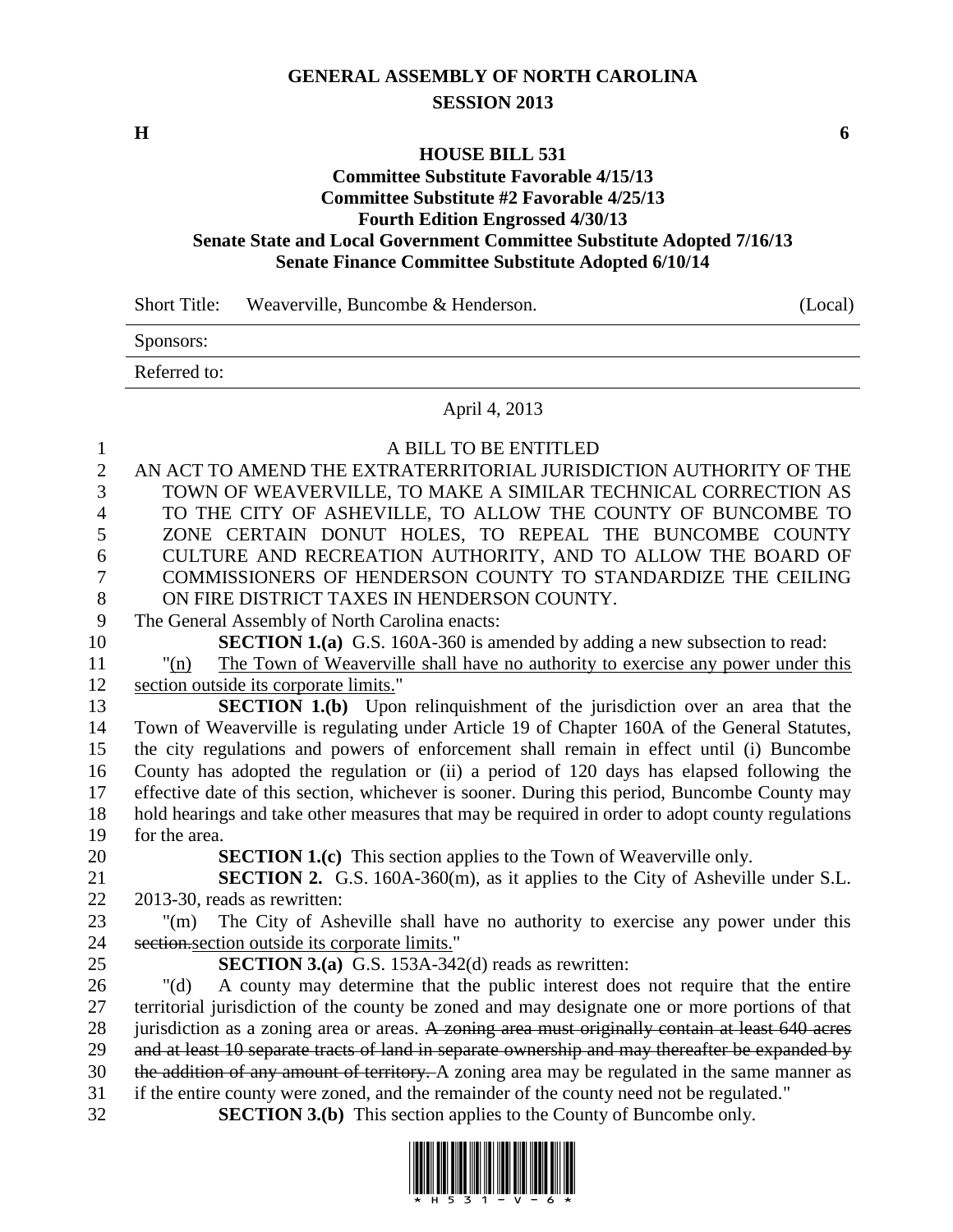## **GENERAL ASSEMBLY OF NORTH CAROLINA SESSION 2013**

**H 6**

## **HOUSE BILL 531**

## **Committee Substitute Favorable 4/15/13 Committee Substitute #2 Favorable 4/25/13 Fourth Edition Engrossed 4/30/13 Senate State and Local Government Committee Substitute Adopted 7/16/13 Senate Finance Committee Substitute Adopted 6/10/14**

| <b>Short Title:</b> | Weaverville, Buncombe & Henderson. | (Local) |
|---------------------|------------------------------------|---------|
| Sponsors:           |                                    |         |
| Referred to:        |                                    |         |
|                     | April 4, 2013                      |         |

| $\mathbf{1}$   | A BILL TO BE ENTITLED                                                                                                                                                                            |  |  |  |  |
|----------------|--------------------------------------------------------------------------------------------------------------------------------------------------------------------------------------------------|--|--|--|--|
| $\overline{2}$ | AN ACT TO AMEND THE EXTRATERRITORIAL JURISDICTION AUTHORITY OF THE                                                                                                                               |  |  |  |  |
| 3              | TOWN OF WEAVERVILLE, TO MAKE A SIMILAR TECHNICAL CORRECTION AS                                                                                                                                   |  |  |  |  |
| $\overline{4}$ | TO THE CITY OF ASHEVILLE, TO ALLOW THE COUNTY OF BUNCOMBE TO                                                                                                                                     |  |  |  |  |
| 5              | ZONE CERTAIN DONUT HOLES, TO REPEAL THE BUNCOMBE COUNTY                                                                                                                                          |  |  |  |  |
| 6              | CULTURE AND RECREATION AUTHORITY, AND TO ALLOW THE BOARD OF                                                                                                                                      |  |  |  |  |
| 7              | COMMISSIONERS OF HENDERSON COUNTY TO STANDARDIZE THE CEILING                                                                                                                                     |  |  |  |  |
| $8\,$          | ON FIRE DISTRICT TAXES IN HENDERSON COUNTY.                                                                                                                                                      |  |  |  |  |
| 9              | The General Assembly of North Carolina enacts:                                                                                                                                                   |  |  |  |  |
| 10             | <b>SECTION 1.(a)</b> G.S. 160A-360 is amended by adding a new subsection to read:                                                                                                                |  |  |  |  |
| 11             | The Town of Weaverville shall have no authority to exercise any power under this<br>"(n)                                                                                                         |  |  |  |  |
| 12             | section outside its corporate limits."                                                                                                                                                           |  |  |  |  |
| 13             | <b>SECTION 1.(b)</b> Upon relinquishment of the jurisdiction over an area that the                                                                                                               |  |  |  |  |
| 14             | Town of Weaverville is regulating under Article 19 of Chapter 160A of the General Statutes,                                                                                                      |  |  |  |  |
| 15             | the city regulations and powers of enforcement shall remain in effect until (i) Buncombe                                                                                                         |  |  |  |  |
| 16             | County has adopted the regulation or (ii) a period of 120 days has elapsed following the                                                                                                         |  |  |  |  |
| 17             | effective date of this section, whichever is sooner. During this period, Buncombe County may                                                                                                     |  |  |  |  |
| 18             | hold hearings and take other measures that may be required in order to adopt county regulations                                                                                                  |  |  |  |  |
| 19             | for the area.                                                                                                                                                                                    |  |  |  |  |
| 20             | <b>SECTION 1.(c)</b> This section applies to the Town of Weaverville only.                                                                                                                       |  |  |  |  |
| 21             | <b>SECTION 2.</b> G.S. 160A-360(m), as it applies to the City of Asheville under S.L.                                                                                                            |  |  |  |  |
| 22             | 2013-30, reads as rewritten:                                                                                                                                                                     |  |  |  |  |
| 23             | The City of Asheville shall have no authority to exercise any power under this<br>$"(\text{m})$                                                                                                  |  |  |  |  |
| 24             | section section outside its corporate limits."                                                                                                                                                   |  |  |  |  |
| 25             | <b>SECTION 3.(a)</b> G.S. 153A-342(d) reads as rewritten:                                                                                                                                        |  |  |  |  |
| 26             | A county may determine that the public interest does not require that the entire<br>" $(d)$                                                                                                      |  |  |  |  |
| 27             | territorial jurisdiction of the county be zoned and may designate one or more portions of that                                                                                                   |  |  |  |  |
| 28             | jurisdiction as a zoning area or areas. A zoning area must originally contain at least 640 acres                                                                                                 |  |  |  |  |
| 29<br>30       | and at least 10 separate tracts of land in separate ownership and may thereafter be expanded by<br>the addition of any amount of territory. A zoning area may be regulated in the same manner as |  |  |  |  |
| 31             | if the entire county were zoned, and the remainder of the county need not be regulated."                                                                                                         |  |  |  |  |
|                |                                                                                                                                                                                                  |  |  |  |  |

32 **SECTION 3.(b)** This section applies to the County of Buncombe only.